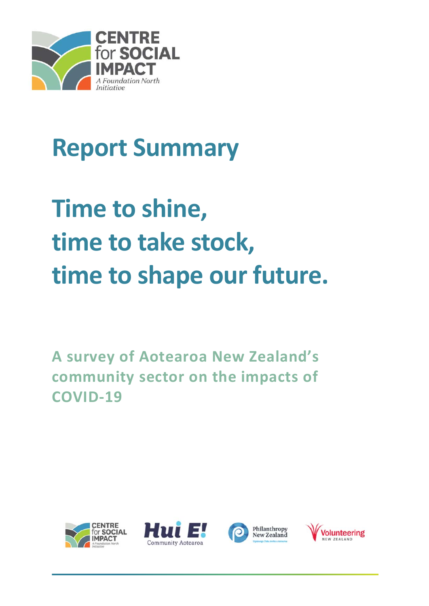

# **Report Summary**

# **Time to shine, time to take stock, time to shape our future.**

**A survey of Aotearoa New Zealand's community sector on the impacts of COVID‐19** 







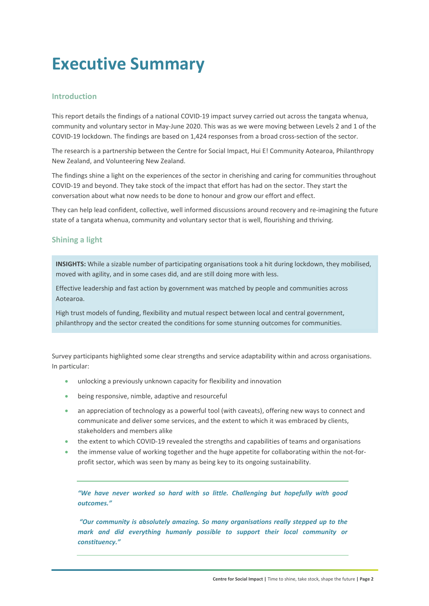# **Executive Summary**

# **Introduction**

This report details the findings of a national COVID‐19 impact survey carried out across the tangata whenua, community and voluntary sector in May-June 2020. This was as we were moving between Levels 2 and 1 of the COVID‐19 lockdown. The findings are based on 1,424 responses from a broad cross‐section of the sector.

The research is a partnership between the Centre for Social Impact, Hui E! Community Aotearoa, Philanthropy New Zealand, and Volunteering New Zealand.

The findings shine a light on the experiences of the sector in cherishing and caring for communities throughout COVID‐19 and beyond. They take stock of the impact that effort has had on the sector. They start the conversation about what now needs to be done to honour and grow our effort and effect.

They can help lead confident, collective, well informed discussions around recovery and re-imagining the future state of a tangata whenua, community and voluntary sector that is well, flourishing and thriving.

# **Shining a light**

**INSIGHTS:** While a sizable number of participating organisations took a hit during lockdown, they mobilised, moved with agility, and in some cases did, and are still doing more with less.

Effective leadership and fast action by government was matched by people and communities across Aotearoa.

High trust models of funding, flexibility and mutual respect between local and central government, philanthropy and the sector created the conditions for some stunning outcomes for communities.

Survey participants highlighted some clear strengths and service adaptability within and across organisations. In particular:

- unlocking a previously unknown capacity for flexibility and innovation
- being responsive, nimble, adaptive and resourceful
- an appreciation of technology as a powerful tool (with caveats), offering new ways to connect and communicate and deliver some services, and the extent to which it was embraced by clients, stakeholders and members alike
- the extent to which COVID‐19 revealed the strengths and capabilities of teams and organisations
- the immense value of working together and the huge appetite for collaborating within the not-forprofit sector, which was seen by many as being key to its ongoing sustainability.

*"We have never worked so hard with so little. Challenging but hopefully with good outcomes."* 

 *"Our community is absolutely amazing. So many organisations really stepped up to the mark and did everything humanly possible to support their local community or constituency."*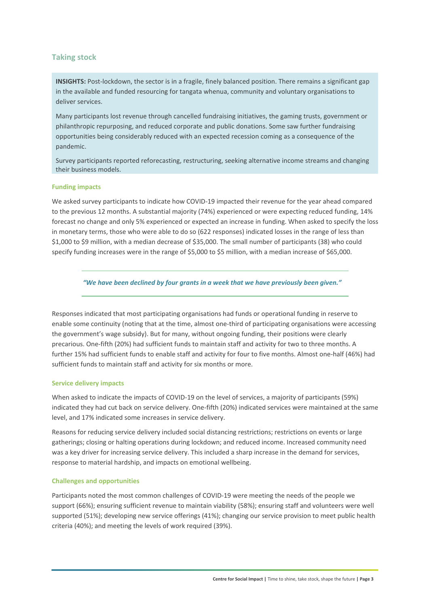# **Taking stock**

**INSIGHTS:** Post-lockdown, the sector is in a fragile, finely balanced position. There remains a significant gap in the available and funded resourcing for tangata whenua, community and voluntary organisations to deliver services.

Many participants lost revenue through cancelled fundraising initiatives, the gaming trusts, government or philanthropic repurposing, and reduced corporate and public donations. Some saw further fundraising opportunities being considerably reduced with an expected recession coming as a consequence of the pandemic.

Survey participants reported reforecasting, restructuring, seeking alternative income streams and changing their business models.

#### **Funding impacts**

We asked survey participants to indicate how COVID-19 impacted their revenue for the year ahead compared to the previous 12 months. A substantial majority (74%) experienced or were expecting reduced funding, 14% forecast no change and only 5% experienced or expected an increase in funding. When asked to specify the loss in monetary terms, those who were able to do so (622 responses) indicated losses in the range of less than \$1,000 to \$9 million, with a median decrease of \$35,000. The small number of participants (38) who could specify funding increases were in the range of \$5,000 to \$5 million, with a median increase of \$65,000.

*"We have been declined by four grants in a week that we have previously been given."* 

Responses indicated that most participating organisations had funds or operational funding in reserve to enable some continuity (noting that at the time, almost one-third of participating organisations were accessing the government's wage subsidy). But for many, without ongoing funding, their positions were clearly precarious. One‐fifth (20%) had sufficient funds to maintain staff and activity for two to three months. A further 15% had sufficient funds to enable staff and activity for four to five months. Almost one‐half (46%) had sufficient funds to maintain staff and activity for six months or more.

#### **Service delivery impacts**

When asked to indicate the impacts of COVID-19 on the level of services, a majority of participants (59%) indicated they had cut back on service delivery. One‐fifth (20%) indicated services were maintained at the same level, and 17% indicated some increases in service delivery.

Reasons for reducing service delivery included social distancing restrictions; restrictions on events or large gatherings; closing or halting operations during lockdown; and reduced income. Increased community need was a key driver for increasing service delivery. This included a sharp increase in the demand for services, response to material hardship, and impacts on emotional wellbeing.

# **Challenges and opportunities**

Participants noted the most common challenges of COVID‐19 were meeting the needs of the people we support (66%); ensuring sufficient revenue to maintain viability (58%); ensuring staff and volunteers were well supported (51%); developing new service offerings (41%); changing our service provision to meet public health criteria (40%); and meeting the levels of work required (39%).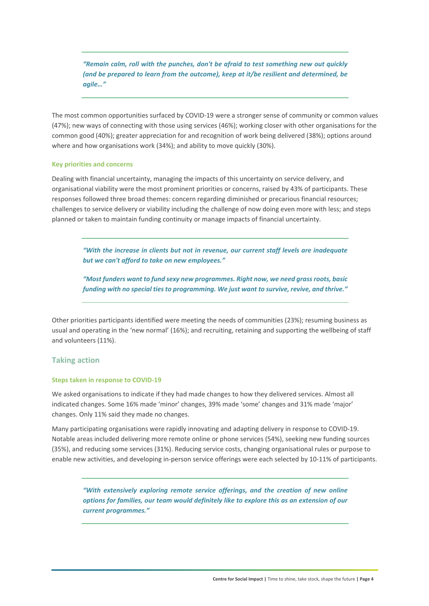*"Remain calm, roll with the punches, don't be afraid to test something new out quickly (and be prepared to learn from the outcome), keep at it/be resilient and determined, be agile…"* 

The most common opportunities surfaced by COVID‐19 were a stronger sense of community or common values (47%); new ways of connecting with those using services (46%); working closer with other organisations for the common good (40%); greater appreciation for and recognition of work being delivered (38%); options around where and how organisations work (34%); and ability to move quickly (30%).

#### **Key priorities and concerns**

Dealing with financial uncertainty, managing the impacts of this uncertainty on service delivery, and organisational viability were the most prominent priorities or concerns, raised by 43% of participants. These responses followed three broad themes: concern regarding diminished or precarious financial resources; challenges to service delivery or viability including the challenge of now doing even more with less; and steps planned or taken to maintain funding continuity or manage impacts of financial uncertainty.

*"With the increase in clients but not in revenue, our current staff levels are inadequate but we can't afford to take on new employees."* 

*"Most funders want to fund sexy new programmes. Right now, we need grass roots, basic funding with no special ties to programming. We just want to survive, revive, and thrive."* 

Other priorities participants identified were meeting the needs of communities (23%); resuming business as usual and operating in the 'new normal' (16%); and recruiting, retaining and supporting the wellbeing of staff and volunteers (11%).

# **Taking action**

#### **Steps taken in response to COVID‐19**

We asked organisations to indicate if they had made changes to how they delivered services. Almost all indicated changes. Some 16% made 'minor' changes, 39% made 'some' changes and 31% made 'major' changes. Only 11% said they made no changes.

Many participating organisations were rapidly innovating and adapting delivery in response to COVID‐19. Notable areas included delivering more remote online or phone services (54%), seeking new funding sources (35%), and reducing some services (31%). Reducing service costs, changing organisational rules or purpose to enable new activities, and developing in-person service offerings were each selected by 10-11% of participants.

*"With extensively exploring remote service offerings, and the creation of new online options for families, our team would definitely like to explore this as an extension of our current programmes."*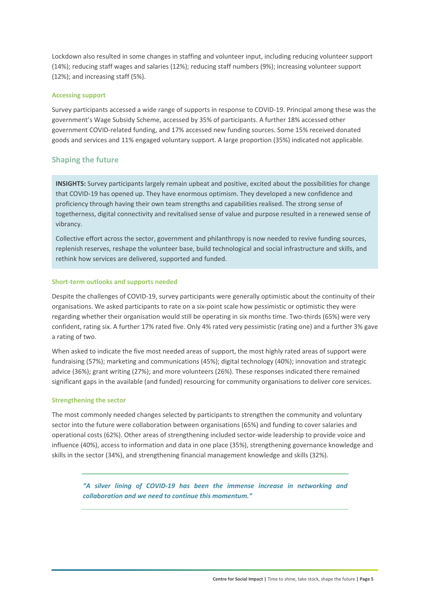Lockdown also resulted in some changes in staffing and volunteer input, including reducing volunteer support (14%); reducing staff wages and salaries (12%); reducing staff numbers (9%); increasing volunteer support (12%); and increasing staff (5%).

#### **Accessing support**

Survey participants accessed a wide range of supports in response to COVID‐19. Principal among these was the government's Wage Subsidy Scheme, accessed by 35% of participants. A further 18% accessed other government COVID‐related funding, and 17% accessed new funding sources. Some 15% received donated goods and services and 11% engaged voluntary support. A large proportion (35%) indicated not applicable.

### **Shaping the future**

**INSIGHTS:** Survey participants largely remain upbeat and positive, excited about the possibilities for change that COVID‐19 has opened up. They have enormous optimism. They developed a new confidence and proficiency through having their own team strengths and capabilities realised. The strong sense of togetherness, digital connectivity and revitalised sense of value and purpose resulted in a renewed sense of vibrancy.

Collective effort across the sector, government and philanthropy is now needed to revive funding sources, replenish reserves, reshape the volunteer base, build technological and social infrastructure and skills, and rethink how services are delivered, supported and funded.

#### **Short‐term outlooks and supports needed**

Despite the challenges of COVID‐19, survey participants were generally optimistic about the continuity of their organisations. We asked participants to rate on a six‐point scale how pessimistic or optimistic they were regarding whether their organisation would still be operating in six months time. Two-thirds (65%) were very confident, rating six. A further 17% rated five. Only 4% rated very pessimistic (rating one) and a further 3% gave a rating of two.

When asked to indicate the five most needed areas of support, the most highly rated areas of support were fundraising (57%); marketing and communications (45%); digital technology (40%); innovation and strategic advice (36%); grant writing (27%); and more volunteers (26%). These responses indicated there remained significant gaps in the available (and funded) resourcing for community organisations to deliver core services.

#### **Strengthening the sector**

The most commonly needed changes selected by participants to strengthen the community and voluntary sector into the future were collaboration between organisations (65%) and funding to cover salaries and operational costs (62%). Other areas of strengthening included sector-wide leadership to provide voice and influence (40%), access to information and data in one place (35%), strengthening governance knowledge and skills in the sector (34%), and strengthening financial management knowledge and skills (32%).

*"A silver lining of COVID‐19 has been the immense increase in networking and collaboration and we need to continue this momentum."*